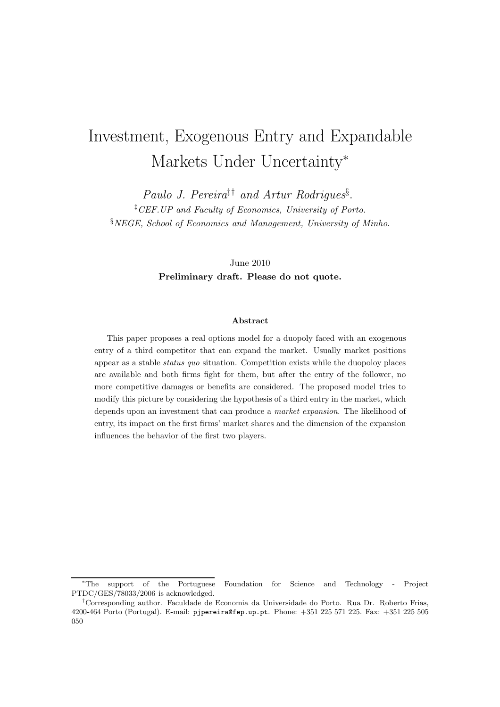# Investment, Exogenous Entry and Expandable Markets Under Uncertainty<sup>∗</sup>

Paulo J. Pereira<sup>‡†</sup> and Artur Rodrigues<sup>§</sup>. ‡CEF.UP and Faculty of Economics, University of Porto. §NEGE, School of Economics and Management, University of Minho.

> June 2010 Preliminary draft. Please do not quote.

#### Abstract

This paper proposes a real options model for a duopoly faced with an exogenous entry of a third competitor that can expand the market. Usually market positions appear as a stable status quo situation. Competition exists while the duopoloy places are available and both firms fight for them, but after the entry of the follower, no more competitive damages or benefits are considered. The proposed model tries to modify this picture by considering the hypothesis of a third entry in the market, which depends upon an investment that can produce a market expansion. The likelihood of entry, its impact on the first firms' market shares and the dimension of the expansion influences the behavior of the first two players.

<sup>∗</sup>The support of the Portuguese Foundation for Science and Technology - Project PTDC/GES/78033/2006 is acknowledged.

<sup>†</sup>Corresponding author. Faculdade de Economia da Universidade do Porto. Rua Dr. Roberto Frias, 4200-464 Porto (Portugal). E-mail: pjpereira@fep.up.pt. Phone: +351 225 571 225. Fax: +351 225 505 050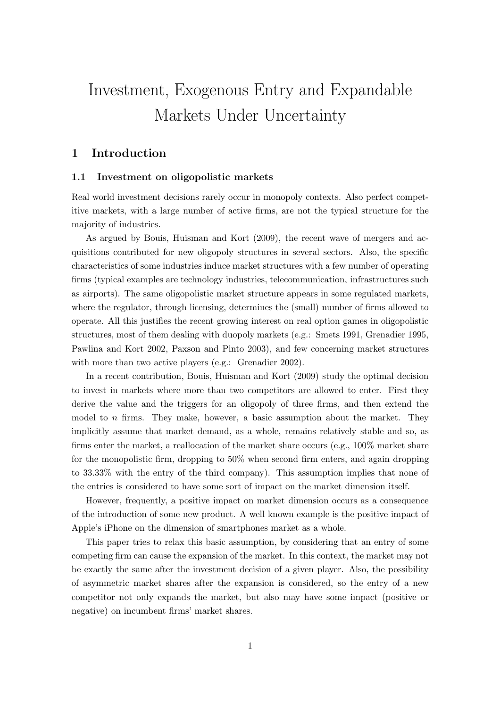# Investment, Exogenous Entry and Expandable Markets Under Uncertainty

# 1 Introduction

### 1.1 Investment on oligopolistic markets

Real world investment decisions rarely occur in monopoly contexts. Also perfect competitive markets, with a large number of active firms, are not the typical structure for the majority of industries.

As argued by Bouis, Huisman and Kort (2009), the recent wave of mergers and acquisitions contributed for new oligopoly structures in several sectors. Also, the specific characteristics of some industries induce market structures with a few number of operating firms (typical examples are technology industries, telecommunication, infrastructures such as airports). The same oligopolistic market structure appears in some regulated markets, where the regulator, through licensing, determines the (small) number of firms allowed to operate. All this justifies the recent growing interest on real option games in oligopolistic structures, most of them dealing with duopoly markets (e.g.: Smets 1991, Grenadier 1995, Pawlina and Kort 2002, Paxson and Pinto 2003), and few concerning market structures with more than two active players (e.g.: Grenadier 2002).

In a recent contribution, Bouis, Huisman and Kort (2009) study the optimal decision to invest in markets where more than two competitors are allowed to enter. First they derive the value and the triggers for an oligopoly of three firms, and then extend the model to  $n$  firms. They make, however, a basic assumption about the market. They implicitly assume that market demand, as a whole, remains relatively stable and so, as firms enter the market, a reallocation of the market share occurs (e.g., 100% market share for the monopolistic firm, dropping to 50% when second firm enters, and again dropping to 33.33% with the entry of the third company). This assumption implies that none of the entries is considered to have some sort of impact on the market dimension itself.

However, frequently, a positive impact on market dimension occurs as a consequence of the introduction of some new product. A well known example is the positive impact of Apple's iPhone on the dimension of smartphones market as a whole.

This paper tries to relax this basic assumption, by considering that an entry of some competing firm can cause the expansion of the market. In this context, the market may not be exactly the same after the investment decision of a given player. Also, the possibility of asymmetric market shares after the expansion is considered, so the entry of a new competitor not only expands the market, but also may have some impact (positive or negative) on incumbent firms' market shares.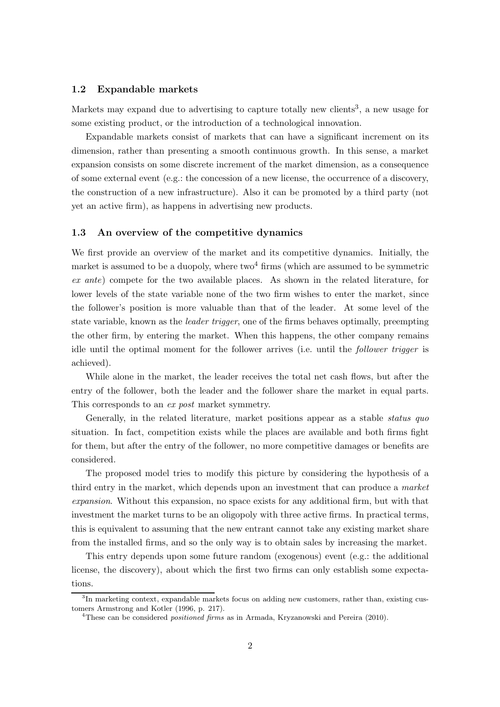#### 1.2 Expandable markets

Markets may expand due to advertising to capture totally new clients<sup>3</sup>, a new usage for some existing product, or the introduction of a technological innovation.

Expandable markets consist of markets that can have a significant increment on its dimension, rather than presenting a smooth continuous growth. In this sense, a market expansion consists on some discrete increment of the market dimension, as a consequence of some external event (e.g.: the concession of a new license, the occurrence of a discovery, the construction of a new infrastructure). Also it can be promoted by a third party (not yet an active firm), as happens in advertising new products.

### 1.3 An overview of the competitive dynamics

We first provide an overview of the market and its competitive dynamics. Initially, the market is assumed to be a duopoly, where  $two<sup>4</sup>$  firms (which are assumed to be symmetric ex ante) compete for the two available places. As shown in the related literature, for lower levels of the state variable none of the two firm wishes to enter the market, since the follower's position is more valuable than that of the leader. At some level of the state variable, known as the leader trigger, one of the firms behaves optimally, preempting the other firm, by entering the market. When this happens, the other company remains idle until the optimal moment for the follower arrives (i.e. until the follower trigger is achieved).

While alone in the market, the leader receives the total net cash flows, but after the entry of the follower, both the leader and the follower share the market in equal parts. This corresponds to an ex post market symmetry.

Generally, in the related literature, market positions appear as a stable *status quo* situation. In fact, competition exists while the places are available and both firms fight for them, but after the entry of the follower, no more competitive damages or benefits are considered.

The proposed model tries to modify this picture by considering the hypothesis of a third entry in the market, which depends upon an investment that can produce a market expansion. Without this expansion, no space exists for any additional firm, but with that investment the market turns to be an oligopoly with three active firms. In practical terms, this is equivalent to assuming that the new entrant cannot take any existing market share from the installed firms, and so the only way is to obtain sales by increasing the market.

This entry depends upon some future random (exogenous) event (e.g.: the additional license, the discovery), about which the first two firms can only establish some expectations.

<sup>&</sup>lt;sup>3</sup>In marketing context, expandable markets focus on adding new customers, rather than, existing customers Armstrong and Kotler (1996, p. 217).

<sup>&</sup>lt;sup>4</sup>These can be considered *positioned firms* as in Armada, Kryzanowski and Pereira  $(2010)$ .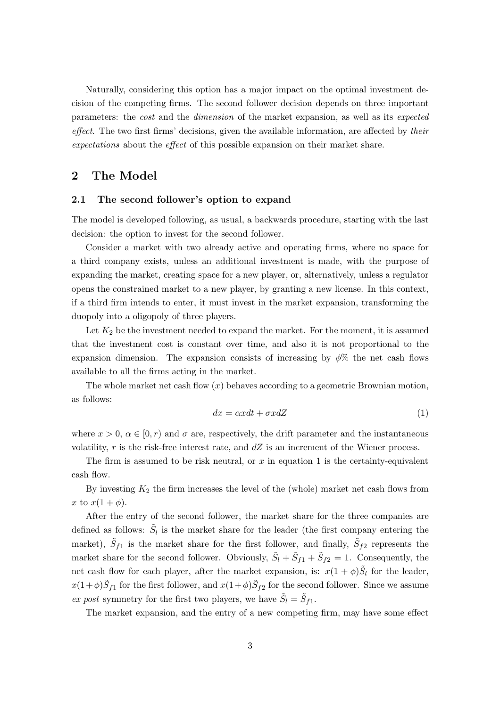Naturally, considering this option has a major impact on the optimal investment decision of the competing firms. The second follower decision depends on three important parameters: the cost and the dimension of the market expansion, as well as its expected effect. The two first firms' decisions, given the available information, are affected by their expectations about the effect of this possible expansion on their market share.

## 2 The Model

## 2.1 The second follower's option to expand

The model is developed following, as usual, a backwards procedure, starting with the last decision: the option to invest for the second follower.

Consider a market with two already active and operating firms, where no space for a third company exists, unless an additional investment is made, with the purpose of expanding the market, creating space for a new player, or, alternatively, unless a regulator opens the constrained market to a new player, by granting a new license. In this context, if a third firm intends to enter, it must invest in the market expansion, transforming the duopoly into a oligopoly of three players.

Let  $K_2$  be the investment needed to expand the market. For the moment, it is assumed that the investment cost is constant over time, and also it is not proportional to the expansion dimension. The expansion consists of increasing by  $\phi\%$  the net cash flows available to all the firms acting in the market.

The whole market net cash flow  $(x)$  behaves according to a geometric Brownian motion, as follows:

$$
dx = \alpha x dt + \sigma x dZ \tag{1}
$$

where  $x > 0$ ,  $\alpha \in [0, r)$  and  $\sigma$  are, respectively, the drift parameter and the instantaneous volatility, r is the risk-free interest rate, and  $dZ$  is an increment of the Wiener process.

The firm is assumed to be risk neutral, or  $x$  in equation 1 is the certainty-equivalent cash flow.

By investing  $K_2$  the firm increases the level of the (whole) market net cash flows from x to  $x(1+\phi)$ .

After the entry of the second follower, the market share for the three companies are defined as follows:  $\tilde{S}_l$  is the market share for the leader (the first company entering the market),  $\tilde{S}_{f1}$  is the market share for the first follower, and finally,  $\tilde{S}_{f2}$  represents the market share for the second follower. Obviously,  $\tilde{S}_l + \tilde{S}_{f1} + \tilde{S}_{f2} = 1$ . Consequently, the net cash flow for each player, after the market expansion, is:  $x(1+\phi)\tilde{S}_l$  for the leader,  $x(1+\phi)\tilde{S}_{f1}$  for the first follower, and  $x(1+\phi)\tilde{S}_{f2}$  for the second follower. Since we assume ex post symmetry for the first two players, we have  $\tilde{S}_l = \tilde{S}_{f1}$ .

The market expansion, and the entry of a new competing firm, may have some effect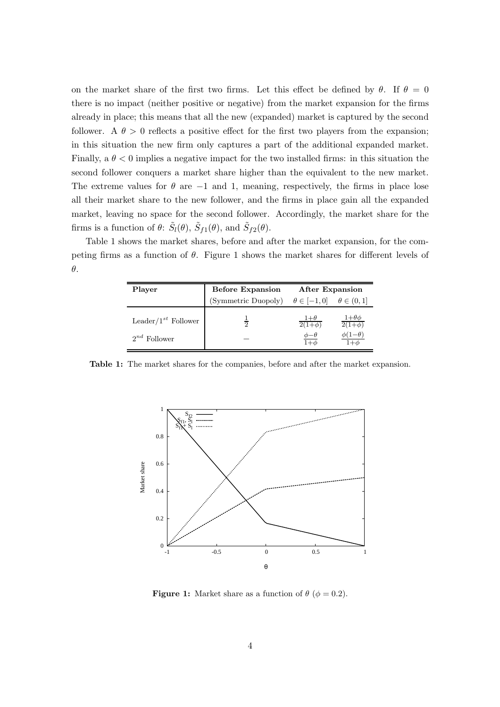on the market share of the first two firms. Let this effect be defined by  $\theta$ . If  $\theta = 0$ there is no impact (neither positive or negative) from the market expansion for the firms already in place; this means that all the new (expanded) market is captured by the second follower. A  $\theta > 0$  reflects a positive effect for the first two players from the expansion; in this situation the new firm only captures a part of the additional expanded market. Finally, a  $\theta < 0$  implies a negative impact for the two installed firms: in this situation the second follower conquers a market share higher than the equivalent to the new market. The extreme values for  $\theta$  are  $-1$  and 1, meaning, respectively, the firms in place lose all their market share to the new follower, and the firms in place gain all the expanded market, leaving no space for the second follower. Accordingly, the market share for the firms is a function of  $\theta$ :  $\tilde{S}_l(\theta)$ ,  $\tilde{S}_{f1}(\theta)$ , and  $\tilde{S}_{f2}(\theta)$ .

Table 1 shows the market shares, before and after the market expansion, for the competing firms as a function of  $\theta$ . Figure 1 shows the market shares for different levels of θ.

| Player                    | <b>Before Expansion</b>                                    | After Expansion           |                               |
|---------------------------|------------------------------------------------------------|---------------------------|-------------------------------|
|                           | (Symmetric Duopoly) $\theta \in [-1,0]$ $\theta \in (0,1]$ |                           |                               |
| Leader/ $1^{st}$ Follower | 2                                                          | $1+\theta$<br>$2(1+\phi)$ | $1+\theta\phi$<br>$2(1+\phi)$ |
| $2^{nd}$ Follower         |                                                            | $\phi-\theta$             |                               |

Table 1: The market shares for the companies, before and after the market expansion.



**Figure 1:** Market share as a function of  $\theta$  ( $\phi = 0.2$ ).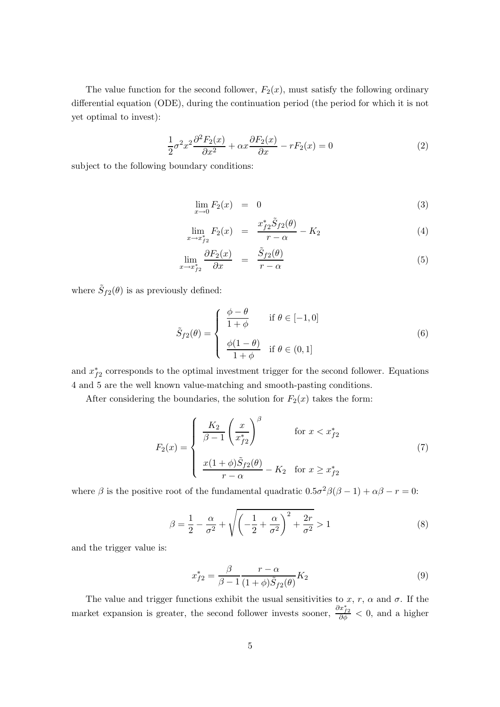The value function for the second follower,  $F_2(x)$ , must satisfy the following ordinary differential equation (ODE), during the continuation period (the period for which it is not yet optimal to invest):

$$
\frac{1}{2}\sigma^2 x^2 \frac{\partial^2 F_2(x)}{\partial x^2} + \alpha x \frac{\partial F_2(x)}{\partial x} - rF_2(x) = 0
$$
\n(2)

subject to the following boundary conditions:

$$
\lim_{x \to 0} F_2(x) = 0 \tag{3}
$$

$$
\lim_{x \to x_{f2}^*} F_2(x) = \frac{x_{f2}^* \tilde{S}_{f2}(\theta)}{r - \alpha} - K_2 \tag{4}
$$

$$
\lim_{x \to x_{f2}^*} \frac{\partial F_2(x)}{\partial x} = \frac{\tilde{S}_{f2}(\theta)}{r - \alpha} \tag{5}
$$

where  $\tilde{S}_{f2}(\theta)$  is as previously defined:

$$
\tilde{S}_{f2}(\theta) = \begin{cases}\n\frac{\phi - \theta}{1 + \phi} & \text{if } \theta \in [-1, 0] \\
\frac{\phi(1 - \theta)}{1 + \phi} & \text{if } \theta \in (0, 1]\n\end{cases}
$$
\n(6)

and  $x_{f2}^*$  corresponds to the optimal investment trigger for the second follower. Equations 4 and 5 are the well known value-matching and smooth-pasting conditions.

After considering the boundaries, the solution for  $F_2(x)$  takes the form:

$$
F_2(x) = \begin{cases} \frac{K_2}{\beta - 1} \left(\frac{x}{x_{f2}^*}\right)^{\beta} & \text{for } x < x_{f2}^*\\ \frac{x(1 + \phi)\tilde{S}_{f2}(\theta)}{r - \alpha} - K_2 & \text{for } x \ge x_{f2}^* \end{cases}
$$
(7)

where  $\beta$  is the positive root of the fundamental quadratic  $0.5\sigma^2\beta(\beta-1) + \alpha\beta - r = 0$ :

$$
\beta = \frac{1}{2} - \frac{\alpha}{\sigma^2} + \sqrt{\left(-\frac{1}{2} + \frac{\alpha}{\sigma^2}\right)^2 + \frac{2r}{\sigma^2}} > 1\tag{8}
$$

and the trigger value is:

$$
x_{f2}^* = \frac{\beta}{\beta - 1} \frac{r - \alpha}{(1 + \phi)\tilde{S}_{f2}(\theta)} K_2
$$
\n
$$
\tag{9}
$$

The value and trigger functions exhibit the usual sensitivities to x, r,  $\alpha$  and  $\sigma$ . If the market expansion is greater, the second follower invests sooner,  $\frac{\partial x_{f2}^*}{\partial \phi} < 0$ , and a higher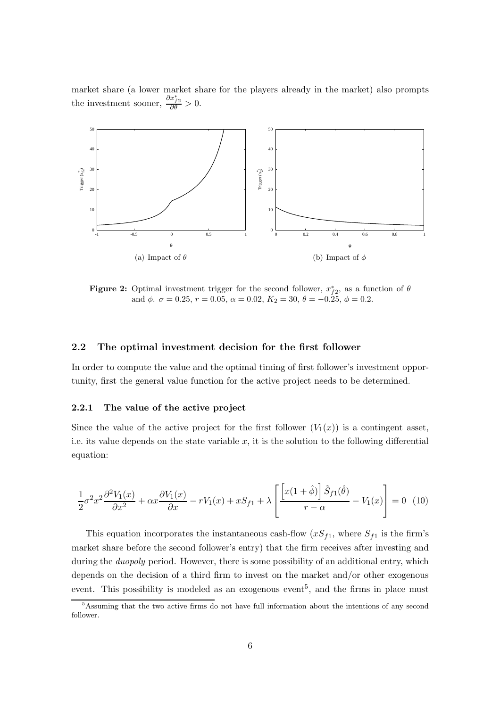market share (a lower market share for the players already in the market) also prompts the investment sooner,  $\frac{\partial x_{f2}^*}{\partial \theta} > 0$ .



**Figure 2:** Optimal investment trigger for the second follower,  $x_{f2}^*$ , as a function of  $\theta$ and  $\phi$ .  $\sigma = 0.25$ ,  $r = 0.05$ ,  $\alpha = 0.02$ ,  $K_2 = 30$ ,  $\theta = -0.25$ ,  $\phi = 0.2$ .

## 2.2 The optimal investment decision for the first follower

In order to compute the value and the optimal timing of first follower's investment opportunity, first the general value function for the active project needs to be determined.

### 2.2.1 The value of the active project

Since the value of the active project for the first follower  $(V_1(x))$  is a contingent asset, i.e. its value depends on the state variable  $x$ , it is the solution to the following differential equation:

$$
\frac{1}{2}\sigma^2 x^2 \frac{\partial^2 V_1(x)}{\partial x^2} + \alpha x \frac{\partial V_1(x)}{\partial x} - rV_1(x) + xS_{f1} + \lambda \left[ \frac{\left[ x(1+\hat{\phi}) \right] \tilde{S}_{f1}(\hat{\theta})}{r - \alpha} - V_1(x) \right] = 0 \tag{10}
$$

This equation incorporates the instantaneous cash-flow  $(xS_{f1},$  where  $S_{f1}$  is the firm's market share before the second follower's entry) that the firm receives after investing and during the *duopoly* period. However, there is some possibility of an additional entry, which depends on the decision of a third firm to invest on the market and/or other exogenous event. This possibility is modeled as an exogenous event<sup>5</sup>, and the firms in place must

<sup>5</sup>Assuming that the two active firms do not have full information about the intentions of any second follower.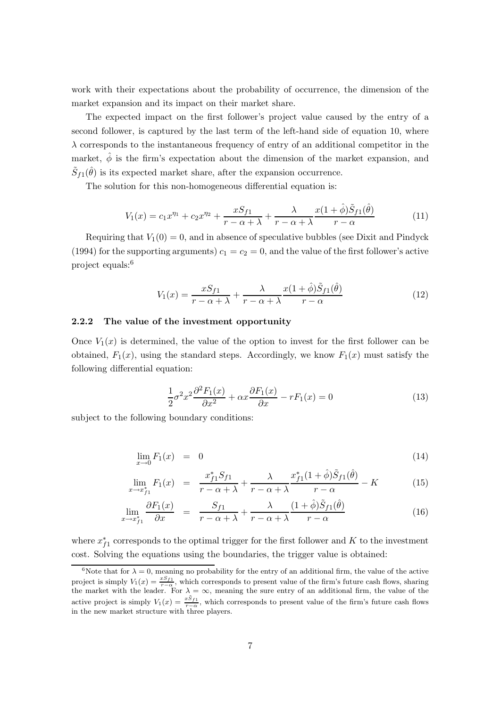work with their expectations about the probability of occurrence, the dimension of the market expansion and its impact on their market share.

The expected impact on the first follower's project value caused by the entry of a second follower, is captured by the last term of the left-hand side of equation 10, where  $\lambda$  corresponds to the instantaneous frequency of entry of an additional competitor in the market,  $\hat{\phi}$  is the firm's expectation about the dimension of the market expansion, and  $\tilde{S}_{f1}(\hat{\theta})$  is its expected market share, after the expansion occurrence.

The solution for this non-homogeneous differential equation is:

$$
V_1(x) = c_1 x^{\eta_1} + c_2 x^{\eta_2} + \frac{x S_{f1}}{r - \alpha + \lambda} + \frac{\lambda}{r - \alpha + \lambda} \frac{x(1 + \hat{\phi}) \tilde{S}_{f1}(\hat{\theta})}{r - \alpha}
$$
(11)

Requiring that  $V_1(0) = 0$ , and in absence of speculative bubbles (see Dixit and Pindyck (1994) for the supporting arguments)  $c_1 = c_2 = 0$ , and the value of the first follower's active project equals:<sup>6</sup>

$$
V_1(x) = \frac{xS_{f1}}{r - \alpha + \lambda} + \frac{\lambda}{r - \alpha + \lambda} \frac{x(1 + \hat{\phi})\tilde{S}_{f1}(\hat{\theta})}{r - \alpha}
$$
(12)

#### 2.2.2 The value of the investment opportunity

Once  $V_1(x)$  is determined, the value of the option to invest for the first follower can be obtained,  $F_1(x)$ , using the standard steps. Accordingly, we know  $F_1(x)$  must satisfy the following differential equation:

$$
\frac{1}{2}\sigma^2 x^2 \frac{\partial^2 F_1(x)}{\partial x^2} + \alpha x \frac{\partial F_1(x)}{\partial x} - rF_1(x) = 0
$$
\n(13)

subject to the following boundary conditions:

$$
\lim_{x \to 0} F_1(x) = 0 \tag{14}
$$

$$
\lim_{x \to x_{f1}^*} F_1(x) = \frac{x_{f1}^* S_{f1}}{r - \alpha + \lambda} + \frac{\lambda}{r - \alpha + \lambda} \frac{x_{f1}^*(1 + \hat{\phi}) \tilde{S}_{f1}(\hat{\theta})}{r - \alpha} - K \tag{15}
$$

$$
\lim_{x \to x_{f1}^*} \frac{\partial F_1(x)}{\partial x} = \frac{S_{f1}}{r - \alpha + \lambda} + \frac{\lambda}{r - \alpha + \lambda} \frac{(1 + \hat{\phi})\tilde{S}_{f1}(\hat{\theta})}{r - \alpha} \tag{16}
$$

where  $x_{f1}^*$  corresponds to the optimal trigger for the first follower and K to the investment cost. Solving the equations using the boundaries, the trigger value is obtained:

<sup>&</sup>lt;sup>6</sup>Note that for  $\lambda = 0$ , meaning no probability for the entry of an additional firm, the value of the active project is simply  $V_1(x) = \frac{xS_{f1}}{r-\alpha}$ , which corresponds to present value of the firm's future cash flows, sharing the market with the leader. For  $\lambda = \infty$ , meaning the sure entry of an additional firm, the value of the active project is simply  $V_1(x) = \frac{xS_{f1}}{r-\alpha}$ , which corresponds to present value of the firm's future cash flows in the new market structure with three players.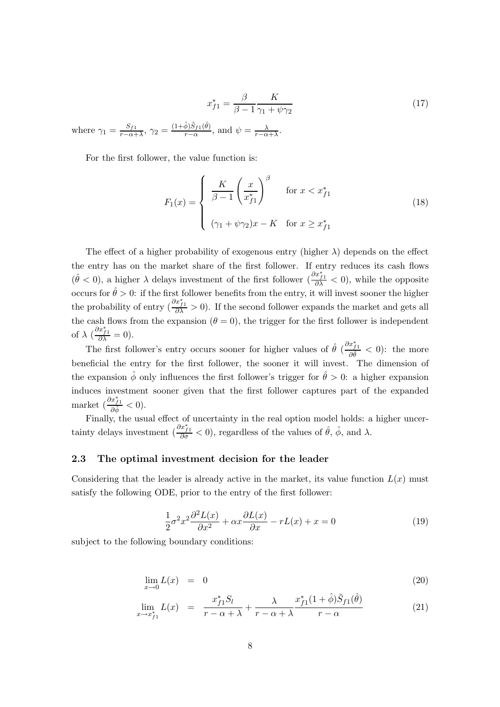$$
x_{f1}^* = \frac{\beta}{\beta - 1} \frac{K}{\gamma_1 + \psi \gamma_2} \tag{17}
$$

where  $\gamma_1 = \frac{S_{f1}}{r - \alpha + \cdots}$  $\frac{S_{f1}}{r-\alpha+\lambda}, \, \gamma_2 = \frac{(1+\hat{\phi})\tilde{S}_{f1}(\hat{\theta})}{r-\alpha}$  $\frac{\phi\left(S_{f1}(\theta)\right)}{r-\alpha}$ , and  $\psi=\frac{\lambda}{r-\alpha+\lambda}$ .

For the first follower, the value function is:

$$
F_1(x) = \begin{cases} \frac{K}{\beta - 1} \left(\frac{x}{x_{f1}^*}\right)^{\beta} & \text{for } x < x_{f1}^* \\ (\gamma_1 + \psi \gamma_2)x - K & \text{for } x \ge x_{f1}^* \end{cases}
$$
(18)

The effect of a higher probability of exogenous entry (higher  $\lambda$ ) depends on the effect the entry has on the market share of the first follower. If entry reduces its cash flows  $(\hat{\theta} < 0)$ , a higher  $\lambda$  delays investment of the first follower  $(\frac{\partial x_{j1}^*}{\partial \lambda} < 0)$ , while the opposite occurs for  $\hat{\theta} > 0$ : if the first follower benefits from the entry, it will invest sooner the higher the probability of entry  $\left(\frac{\partial x_{j1}^*}{\partial \lambda} > 0\right)$ . If the second follower expands the market and gets all the cash flows from the expansion  $(\theta = 0)$ , the trigger for the first follower is independent of  $\lambda \left( \frac{\partial x_{f1}^*}{\partial \lambda} = 0 \right)$ .

The first follower's entry occurs sooner for higher values of  $\hat{\theta}$  ( $\frac{\partial x_{f1}^*}{\partial \hat{\theta}} < 0$ ): the more beneficial the entry for the first follower, the sooner it will invest. The dimension of the expansion  $\hat{\phi}$  only influences the first follower's trigger for  $\hat{\theta} > 0$ : a higher expansion induces investment sooner given that the first follower captures part of the expanded market  $\left(\frac{\partial x_{f1}^*}{\partial \hat{\phi}} < 0\right)$ .

Finally, the usual effect of uncertainty in the real option model holds: a higher uncertainty delays investment  $\left(\frac{\partial x_{f1}^*}{\partial \sigma} < 0\right)$ , regardless of the values of  $\hat{\theta}$ ,  $\hat{\phi}$ , and  $\lambda$ .

## 2.3 The optimal investment decision for the leader

Considering that the leader is already active in the market, its value function  $L(x)$  must satisfy the following ODE, prior to the entry of the first follower:

$$
\frac{1}{2}\sigma^2 x^2 \frac{\partial^2 L(x)}{\partial x^2} + \alpha x \frac{\partial L(x)}{\partial x} - rL(x) + x = 0 \tag{19}
$$

subject to the following boundary conditions:

$$
\lim_{x \to 0} L(x) = 0 \tag{20}
$$

$$
\lim_{x \to x_{f1}^*} L(x) = \frac{x_{f1}^* S_l}{r - \alpha + \lambda} + \frac{\lambda}{r - \alpha + \lambda} \frac{x_{f1}^* (1 + \hat{\phi}) \tilde{S}_{f1}(\hat{\theta})}{r - \alpha}
$$
(21)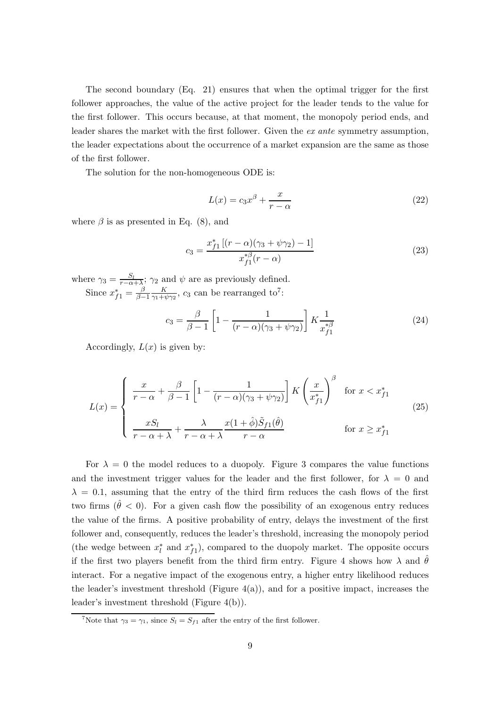The second boundary (Eq. 21) ensures that when the optimal trigger for the first follower approaches, the value of the active project for the leader tends to the value for the first follower. This occurs because, at that moment, the monopoly period ends, and leader shares the market with the first follower. Given the ex ante symmetry assumption, the leader expectations about the occurrence of a market expansion are the same as those of the first follower.

The solution for the non-homogeneous ODE is:

$$
L(x) = c_3 x^{\beta} + \frac{x}{r - \alpha}
$$
\n(22)

where  $\beta$  is as presented in Eq. (8), and

$$
c_3 = \frac{x_{f1}^* \left[ (r - \alpha)(\gamma_3 + \psi \gamma_2) - 1 \right]}{x_{f1}^{*\beta}(r - \alpha)}\tag{23}
$$

where  $\gamma_3 = \frac{S_l}{r - \alpha + \lambda}$ ;  $\gamma_2$  and  $\psi$  are as previously defined. Since  $x_{f1}^* = \frac{\beta}{\beta - 1}$  $\frac{\beta}{\beta-1} \frac{K}{\gamma_1 + \gamma_2}$  $\frac{K}{\gamma_1+\psi\gamma_2}$ ,  $c_3$  can be rearranged to<sup>7</sup>:

$$
c_3 = \frac{\beta}{\beta - 1} \left[ 1 - \frac{1}{(r - \alpha)(\gamma_3 + \psi \gamma_2)} \right] K \frac{1}{x_{f1}^{*\beta}}
$$
(24)

Accordingly,  $L(x)$  is given by:

$$
L(x) = \begin{cases} \frac{x}{r - \alpha} + \frac{\beta}{\beta - 1} \left[ 1 - \frac{1}{(r - \alpha)(\gamma_3 + \psi \gamma_2)} \right] K \left( \frac{x}{x_{f1}^*} \right)^\beta & \text{for } x < x_{f1}^*\\ \frac{x S_l}{r - \alpha + \lambda} + \frac{\lambda}{r - \alpha + \lambda} \frac{x (1 + \hat{\phi}) \tilde{S}_{f1}(\hat{\theta})}{r - \alpha} & \text{for } x \ge x_{f1}^* \end{cases} \tag{25}
$$

For  $\lambda = 0$  the model reduces to a duopoly. Figure 3 compares the value functions and the investment trigger values for the leader and the first follower, for  $\lambda = 0$  and  $\lambda = 0.1$ , assuming that the entry of the third firm reduces the cash flows of the first two firms ( $\theta < 0$ ). For a given cash flow the possibility of an exogenous entry reduces the value of the firms. A positive probability of entry, delays the investment of the first follower and, consequently, reduces the leader's threshold, increasing the monopoly period (the wedge between  $x_l^*$  and  $x_{f1}^*$ ), compared to the duopoly market. The opposite occurs if the first two players benefit from the third firm entry. Figure 4 shows how  $\lambda$  and  $\theta$ interact. For a negative impact of the exogenous entry, a higher entry likelihood reduces the leader's investment threshold (Figure  $4(a)$ ), and for a positive impact, increases the leader's investment threshold (Figure 4(b)).

<sup>&</sup>lt;sup>7</sup>Note that  $\gamma_3 = \gamma_1$ , since  $S_l = S_{f1}$  after the entry of the first follower.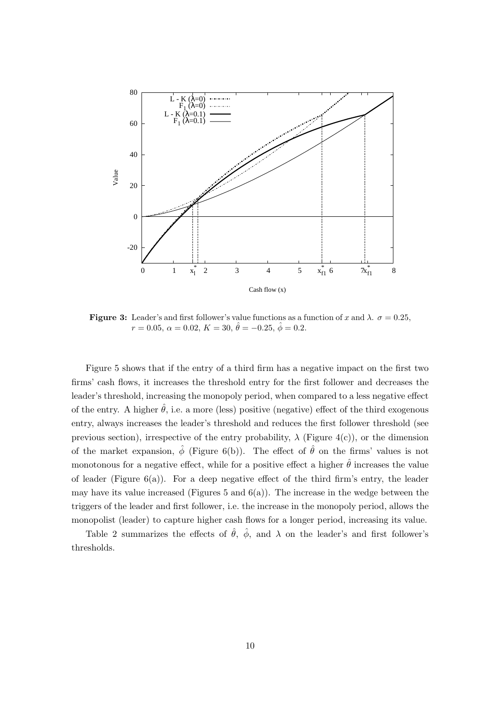

**Figure 3:** Leader's and first follower's value functions as a function of x and  $\lambda$ .  $\sigma = 0.25$ .  $r = 0.05, \ \alpha = 0.02, \ K = 30, \ \hat{\theta} = -0.25, \ \hat{\phi} = 0.2.$ 

Figure 5 shows that if the entry of a third firm has a negative impact on the first two firms' cash flows, it increases the threshold entry for the first follower and decreases the leader's threshold, increasing the monopoly period, when compared to a less negative effect of the entry. A higher  $\hat{\theta}$ , i.e. a more (less) positive (negative) effect of the third exogenous entry, always increases the leader's threshold and reduces the first follower threshold (see previous section), irrespective of the entry probability,  $\lambda$  (Figure 4(c)), or the dimension of the market expansion,  $\hat{\phi}$  (Figure 6(b)). The effect of  $\hat{\theta}$  on the firms' values is not monotonous for a negative effect, while for a positive effect a higher  $\hat{\theta}$  increases the value of leader (Figure  $6(a)$ ). For a deep negative effect of the third firm's entry, the leader may have its value increased (Figures 5 and  $6(a)$ ). The increase in the wedge between the triggers of the leader and first follower, i.e. the increase in the monopoly period, allows the monopolist (leader) to capture higher cash flows for a longer period, increasing its value.

Table 2 summarizes the effects of  $\hat{\theta}$ ,  $\hat{\phi}$ , and  $\lambda$  on the leader's and first follower's thresholds.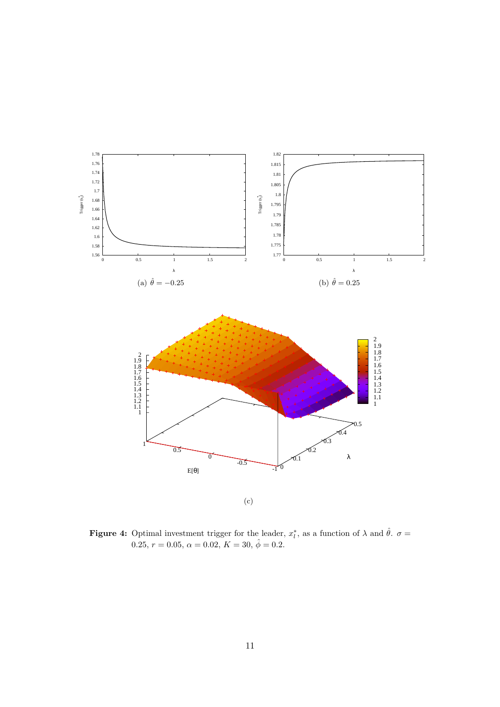

**Figure 4:** Optimal investment trigger for the leader,  $x_i^*$  $\hat{\theta}$ , as a function of  $\lambda$  and  $\hat{\theta}$ .  $\sigma =$ 0.25,  $r = 0.05$ ,  $\alpha = 0.02$ ,  $K = 30$ ,  $\hat{\phi} = 0.2$ .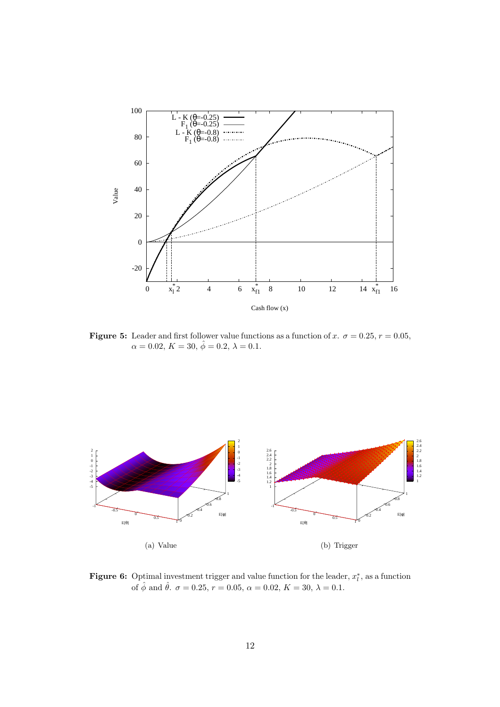![](_page_12_Figure_0.jpeg)

Figure 5: Leader and first follower value functions as a function of x.  $\sigma = 0.25$ ,  $r = 0.05$ ,  $\alpha = 0.02, K = 30, \hat{\phi} = 0.2, \lambda = 0.1.$ 

![](_page_12_Figure_2.jpeg)

**Figure 6:** Optimal investment trigger and value function for the leader,  $x_i^*$  $\chi^*$ , as a function of  $\hat{\phi}$  and  $\hat{\theta}$ .  $\sigma = 0.25$ ,  $r = 0.05$ ,  $\alpha = 0.02$ ,  $K = 30$ ,  $\lambda = 0.1$ .